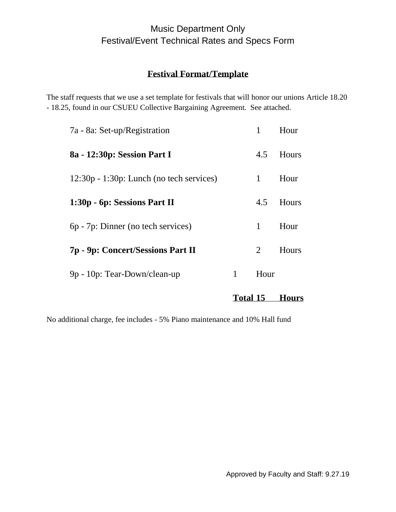## **Festival Format/Template**

The staff requests that we use a set template for festivals that will honor our unions Article 18.20 - 18.25, found in our CSUEU Collective Bargaining Agreement. See attached.

|                                             | <b>Total 15</b> |              | <b>Hours</b> |
|---------------------------------------------|-----------------|--------------|--------------|
| 9p - 10p: Tear-Down/clean-up                | 1               | Hour         |              |
| 7p - 9p: Concert/Sessions Part II           |                 | 2            | Hours        |
| 6p - 7p: Dinner (no tech services)          |                 | 1            | Hour         |
| 1:30p - 6p: Sessions Part II                |                 | 4.5          | Hours        |
| $12:30p - 1:30p$ : Lunch (no tech services) |                 | $\mathbf{1}$ | Hour         |
| 8a - 12:30p: Session Part I                 |                 | 4.5          | Hours        |
| 7a - 8a: Set-up/Registration                |                 | $\mathbf{1}$ | Hour         |

No additional charge, fee includes - 5% Piano maintenance and 10% Hall fund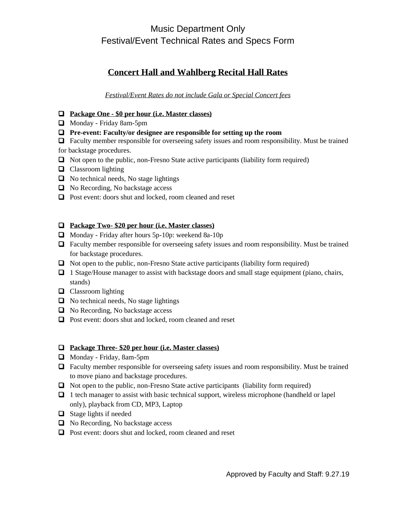# **Concert Hall and Wahlberg Recital Hall Rates**

*Festival/Event Rates do not include Gala or Special Concert fees*

- ❑ **Package One - \$0 per hour (i.e. Master classes)**
- ❑ Monday Friday 8am-5pm
- ❑ **Pre-event: Faculty/or designee are responsible for setting up the room**
- □ Faculty member responsible for overseeing safety issues and room responsibility. Must be trained for backstage procedures.
- ❑ Not open to the public, non-Fresno State active participants (liability form required)
- ❑ Classroom lighting
- $\Box$  No technical needs, No stage lightings
- ❑ No Recording, No backstage access
- ❑ Post event: doors shut and locked, room cleaned and reset

### ❑ **Package Two- \$20 per hour (i.e. Master classes)**

- ❑ Monday Friday after hours 5p-10p: weekend 8a-10p
- ❑ Faculty member responsible for overseeing safety issues and room responsibility. Must be trained for backstage procedures.
- ❑ Not open to the public, non-Fresno State active participants (liability form required)
- ❑ 1 Stage/House manager to assist with backstage doors and small stage equipment (piano, chairs, stands)
- ❑ Classroom lighting
- ❑ No technical needs, No stage lightings
- ❑ No Recording, No backstage access
- ❑ Post event: doors shut and locked, room cleaned and reset

### ❑ **Package Three- \$20 per hour (i.e. Master classes)**

- ❑ Monday Friday, 8am-5pm
- ❑ Faculty member responsible for overseeing safety issues and room responsibility. Must be trained to move piano and backstage procedures.
- ❑ Not open to the public, non-Fresno State active participants (liability form required)
- □ 1 tech manager to assist with basic technical support, wireless microphone (handheld or lapel only), playback from CD, MP3, Laptop
- $\Box$  Stage lights if needed
- ❑ No Recording, No backstage access
- ❑ Post event: doors shut and locked, room cleaned and reset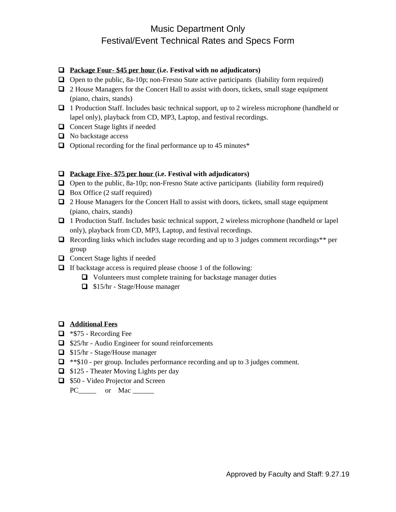#### ❑ **Package Four- \$45 per hour (i.e. Festival with no adjudicators)**

- $\Box$  Open to the public, 8a-10p; non-Fresno State active participants (liability form required)
- □ 2 House Managers for the Concert Hall to assist with doors, tickets, small stage equipment (piano, chairs, stands)
- ❑ 1 Production Staff. Includes basic technical support, up to 2 wireless microphone (handheld or lapel only), playback from CD, MP3, Laptop, and festival recordings.
- ❑ Concert Stage lights if needed
- ❑ No backstage access
- □ Optional recording for the final performance up to 45 minutes<sup>\*</sup>

#### ❑ **Package Five- \$75 per hour (i.e. Festival with adjudicators)**

- $\Box$  Open to the public, 8a-10p; non-Fresno State active participants (liability form required)
- $\Box$  Box Office (2 staff required)
- ❑ 2 House Managers for the Concert Hall to assist with doors, tickets, small stage equipment (piano, chairs, stands)
- □ 1 Production Staff. Includes basic technical support, 2 wireless microphone (handheld or lapel only), playback from CD, MP3, Laptop, and festival recordings.
- $\Box$  Recording links which includes stage recording and up to 3 judges comment recordings\*\* per group
- ❑ Concert Stage lights if needed
- ❑ If backstage access is required please choose 1 of the following:
	- ❑ Volunteers must complete training for backstage manager duties
	- ❑ \$15/hr Stage/House manager

### ❑ **Additional Fees**

- ❑ \*\$75 Recording Fee
- ❑ \$25/hr Audio Engineer for sound reinforcements
- ❑ \$15/hr Stage/House manager
- ❑ \*\*\$10 per group. Includes performance recording and up to 3 judges comment.
- ❑ \$125 Theater Moving Lights per day
- ❑ \$50 Video Projector and Screen
	- PC\_\_\_\_\_\_\_ or Mac \_\_\_\_\_\_\_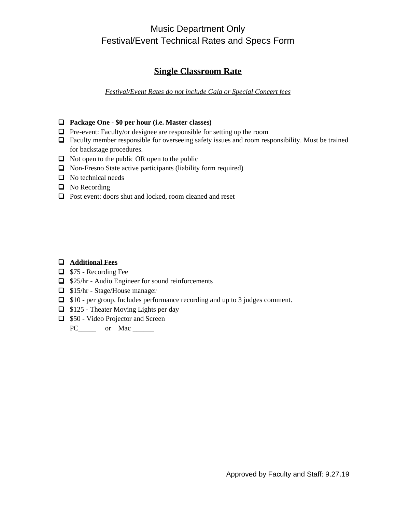### **Single Classroom Rate**

*Festival/Event Rates do not include Gala or Special Concert fees*

### ❑ **Package One - \$0 per hour (i.e. Master classes)**

- ❑ Pre-event: Faculty/or designee are responsible for setting up the room
- ❑ Faculty member responsible for overseeing safety issues and room responsibility. Must be trained for backstage procedures.
- ❑ Not open to the public OR open to the public
- ❑ Non-Fresno State active participants (liability form required)
- ❑ No technical needs
- ❑ No Recording
- ❑ Post event: doors shut and locked, room cleaned and reset

### ❑ **Additional Fees**

- ❑ \$75 Recording Fee
- ❑ \$25/hr Audio Engineer for sound reinforcements
- ❑ \$15/hr Stage/House manager
- ❑ \$10 per group. Includes performance recording and up to 3 judges comment.
- ❑ \$125 Theater Moving Lights per day
- ❑ \$50 Video Projector and Screen

PC\_\_\_\_\_\_\_ or Mac \_\_\_\_\_\_\_